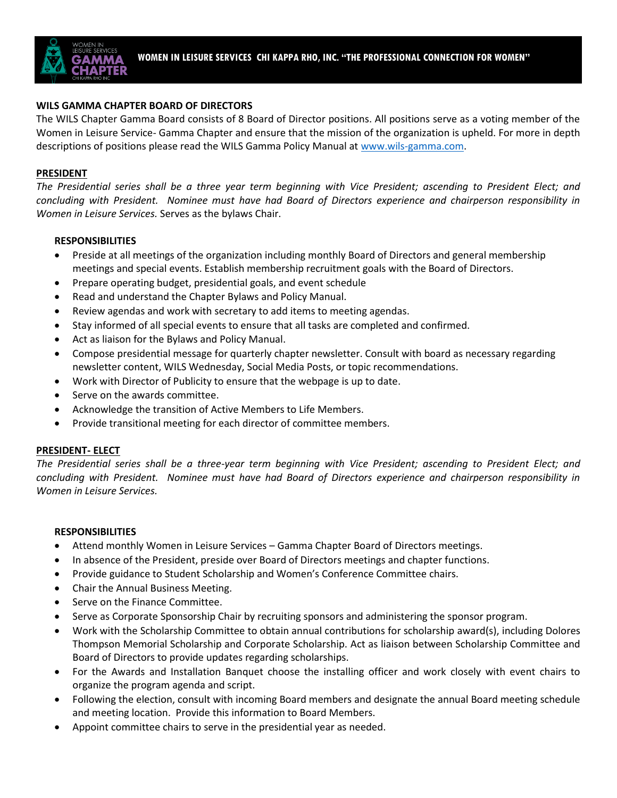

#### **WILS GAMMA CHAPTER BOARD OF DIRECTORS**

The WILS Chapter Gamma Board consists of 8 Board of Director positions. All positions serve as a voting member of the Women in Leisure Service- Gamma Chapter and ensure that the mission of the organization is upheld. For more in depth descriptions of positions please read the WILS Gamma Policy Manual at [www.wils-gamma.com.](http://www.wils-gamma.com/)

#### **PRESIDENT**

*The Presidential series shall be a three year term beginning with Vice President; ascending to President Elect; and concluding with President. Nominee must have had Board of Directors experience and chairperson responsibility in Women in Leisure Services.* Serves as the bylaws Chair.

#### **RESPONSIBILITIES**

- Preside at all meetings of the organization including monthly Board of Directors and general membership meetings and special events. Establish membership recruitment goals with the Board of Directors.
- Prepare operating budget, presidential goals, and event schedule
- Read and understand the Chapter Bylaws and Policy Manual.
- Review agendas and work with secretary to add items to meeting agendas.
- Stay informed of all special events to ensure that all tasks are completed and confirmed.
- Act as liaison for the Bylaws and Policy Manual.
- Compose presidential message for quarterly chapter newsletter. Consult with board as necessary regarding newsletter content, WILS Wednesday, Social Media Posts, or topic recommendations.
- Work with Director of Publicity to ensure that the webpage is up to date.
- Serve on the awards committee.
- Acknowledge the transition of Active Members to Life Members.
- Provide transitional meeting for each director of committee members.

#### **PRESIDENT- ELECT**

*The Presidential series shall be a three-year term beginning with Vice President; ascending to President Elect; and concluding with President. Nominee must have had Board of Directors experience and chairperson responsibility in Women in Leisure Services.* 

#### **RESPONSIBILITIES**

- Attend monthly Women in Leisure Services Gamma Chapter Board of Directors meetings.
- In absence of the President, preside over Board of Directors meetings and chapter functions.
- Provide guidance to Student Scholarship and Women's Conference Committee chairs.
- Chair the Annual Business Meeting.
- Serve on the Finance Committee.
- Serve as Corporate Sponsorship Chair by recruiting sponsors and administering the sponsor program.
- Work with the Scholarship Committee to obtain annual contributions for scholarship award(s), including Dolores Thompson Memorial Scholarship and Corporate Scholarship. Act as liaison between Scholarship Committee and Board of Directors to provide updates regarding scholarships.
- For the Awards and Installation Banquet choose the installing officer and work closely with event chairs to organize the program agenda and script.
- Following the election, consult with incoming Board members and designate the annual Board meeting schedule and meeting location. Provide this information to Board Members.
- Appoint committee chairs to serve in the presidential year as needed.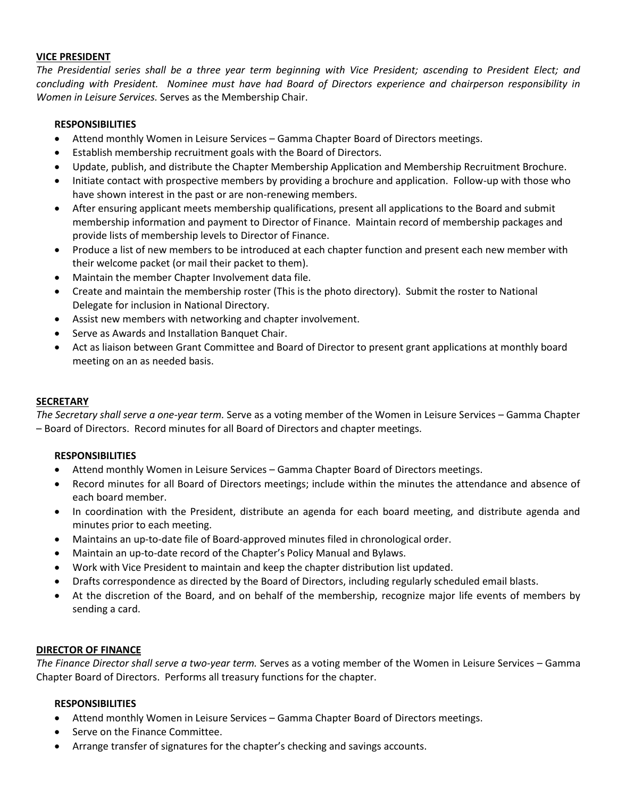#### **VICE PRESIDENT**

*The Presidential series shall be a three year term beginning with Vice President; ascending to President Elect; and concluding with President. Nominee must have had Board of Directors experience and chairperson responsibility in Women in Leisure Services.* Serves as the Membership Chair.

#### **RESPONSIBILITIES**

- Attend monthly Women in Leisure Services Gamma Chapter Board of Directors meetings.
- Establish membership recruitment goals with the Board of Directors.
- Update, publish, and distribute the Chapter Membership Application and Membership Recruitment Brochure.
- Initiate contact with prospective members by providing a brochure and application. Follow-up with those who have shown interest in the past or are non-renewing members.
- After ensuring applicant meets membership qualifications, present all applications to the Board and submit membership information and payment to Director of Finance. Maintain record of membership packages and provide lists of membership levels to Director of Finance.
- Produce a list of new members to be introduced at each chapter function and present each new member with their welcome packet (or mail their packet to them).
- Maintain the member Chapter Involvement data file.
- Create and maintain the membership roster (This is the photo directory). Submit the roster to National Delegate for inclusion in National Directory.
- Assist new members with networking and chapter involvement.
- Serve as Awards and Installation Banquet Chair.
- Act as liaison between Grant Committee and Board of Director to present grant applications at monthly board meeting on an as needed basis.

### **SECRETARY**

*The Secretary shall serve a one-year term.* Serve as a voting member of the Women in Leisure Services – Gamma Chapter – Board of Directors. Record minutes for all Board of Directors and chapter meetings.

### **RESPONSIBILITIES**

- Attend monthly Women in Leisure Services Gamma Chapter Board of Directors meetings.
- Record minutes for all Board of Directors meetings; include within the minutes the attendance and absence of each board member.
- In coordination with the President, distribute an agenda for each board meeting, and distribute agenda and minutes prior to each meeting.
- Maintains an up-to-date file of Board-approved minutes filed in chronological order.
- Maintain an up-to-date record of the Chapter's Policy Manual and Bylaws.
- Work with Vice President to maintain and keep the chapter distribution list updated.
- Drafts correspondence as directed by the Board of Directors, including regularly scheduled email blasts.
- At the discretion of the Board, and on behalf of the membership, recognize major life events of members by sending a card.

#### **DIRECTOR OF FINANCE**

*The Finance Director shall serve a two-year term.* Serves as a voting member of the Women in Leisure Services – Gamma Chapter Board of Directors. Performs all treasury functions for the chapter.

### **RESPONSIBILITIES**

- Attend monthly Women in Leisure Services Gamma Chapter Board of Directors meetings.
- Serve on the Finance Committee.
- Arrange transfer of signatures for the chapter's checking and savings accounts.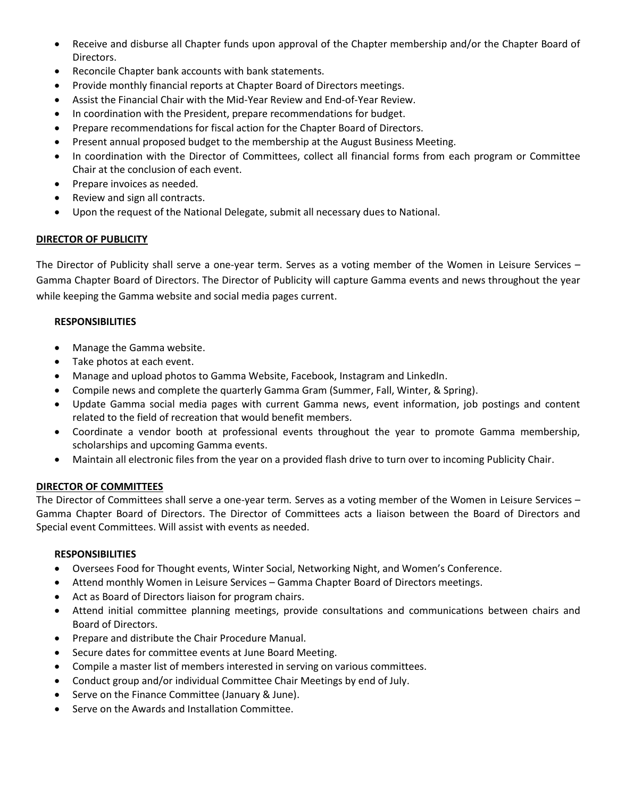- Receive and disburse all Chapter funds upon approval of the Chapter membership and/or the Chapter Board of Directors.
- Reconcile Chapter bank accounts with bank statements.
- Provide monthly financial reports at Chapter Board of Directors meetings.
- Assist the Financial Chair with the Mid-Year Review and End-of-Year Review.
- In coordination with the President, prepare recommendations for budget.
- Prepare recommendations for fiscal action for the Chapter Board of Directors.
- Present annual proposed budget to the membership at the August Business Meeting.
- In coordination with the Director of Committees, collect all financial forms from each program or Committee Chair at the conclusion of each event.
- Prepare invoices as needed.
- Review and sign all contracts.
- Upon the request of the National Delegate, submit all necessary dues to National.

## **DIRECTOR OF PUBLICITY**

The Director of Publicity shall serve a one-year term. Serves as a voting member of the Women in Leisure Services – Gamma Chapter Board of Directors. The Director of Publicity will capture Gamma events and news throughout the year while keeping the Gamma website and social media pages current.

## **RESPONSIBILITIES**

- Manage the Gamma website.
- Take photos at each event.
- Manage and upload photos to Gamma Website, Facebook, Instagram and LinkedIn.
- Compile news and complete the quarterly Gamma Gram (Summer, Fall, Winter, & Spring).
- Update Gamma social media pages with current Gamma news, event information, job postings and content related to the field of recreation that would benefit members.
- Coordinate a vendor booth at professional events throughout the year to promote Gamma membership, scholarships and upcoming Gamma events.
- Maintain all electronic files from the year on a provided flash drive to turn over to incoming Publicity Chair.

## **DIRECTOR OF COMMITTEES**

The Director of Committees shall serve a one-year term*.* Serves as a voting member of the Women in Leisure Services – Gamma Chapter Board of Directors. The Director of Committees acts a liaison between the Board of Directors and Special event Committees. Will assist with events as needed.

### **RESPONSIBILITIES**

- Oversees Food for Thought events, Winter Social, Networking Night, and Women's Conference.
- Attend monthly Women in Leisure Services Gamma Chapter Board of Directors meetings.
- Act as Board of Directors liaison for program chairs.
- Attend initial committee planning meetings, provide consultations and communications between chairs and Board of Directors.
- Prepare and distribute the Chair Procedure Manual.
- Secure dates for committee events at June Board Meeting.
- Compile a master list of members interested in serving on various committees.
- Conduct group and/or individual Committee Chair Meetings by end of July.
- Serve on the Finance Committee (January & June).
- Serve on the Awards and Installation Committee.